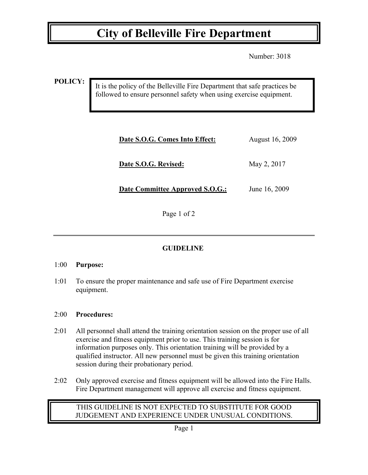## **City of Belleville Fire Department**

Number: 3018

**POLICY:**

It is the policy of the Belleville Fire Department that safe practices be followed to ensure personnel safety when using exercise equipment.

| Date S.O.G. Comes Into Effect:         | August 16, 2009 |
|----------------------------------------|-----------------|
| Date S.O.G. Revised:                   | May 2, 2017     |
| <b>Date Committee Approved S.O.G.:</b> | June 16, 2009   |

Page 1 of 2

### **GUIDELINE**

#### 1:00 **Purpose:**

1:01 To ensure the proper maintenance and safe use of Fire Department exercise equipment.

#### 2:00 **Procedures:**

- 2:01 All personnel shall attend the training orientation session on the proper use of all exercise and fitness equipment prior to use. This training session is for information purposes only. This orientation training will be provided by a qualified instructor. All new personnel must be given this training orientation session during their probationary period.
- 2:02 Only approved exercise and fitness equipment will be allowed into the Fire Halls. Fire Department management will approve all exercise and fitness equipment.

#### THIS GUIDELINE IS NOT EXPECTED TO SUBSTITUTE FOR GOOD JUDGEMENT AND EXPERIENCE UNDER UNUSUAL CONDITIONS.